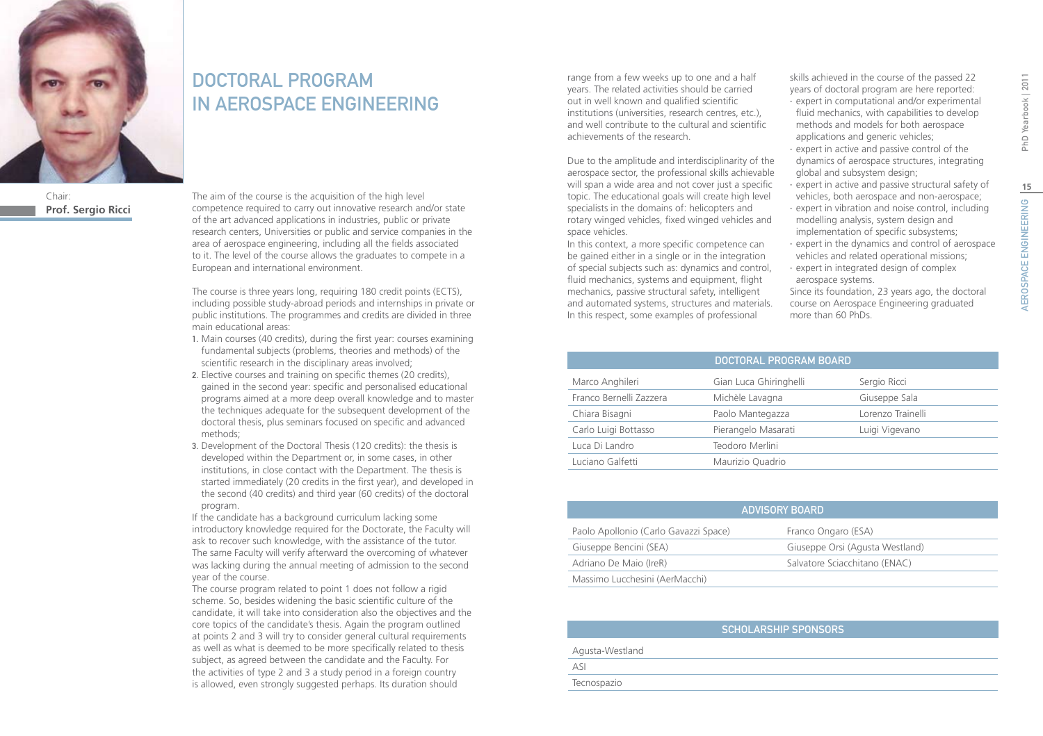

Chair: **Prof. Sergio Ricci**

# DOCTORAL PROGRAM IN AEROSPACE ENGINEERING

The aim of the course is the acquisition of the high level competence required to carry out innovative research and/or state of the art advanced applications in industries, public or private research centers, Universities or public and service companies in the area of aerospace engineering, including all the fields associated to it. The level of the course allows the graduates to compete in a European and international environment.

The course is three years long, requiring 180 credit points (ECTS), including possible study-abroad periods and internships in private or public institutions. The programmes and credits are divided in three main educational areas:

- 1. Main courses (40 credits), during the first year: courses examining fundamental subjects (problems, theories and methods) of the scientific research in the disciplinary areas involved;
- 2. Elective courses and training on specific themes (20 credits), gained in the second year: specific and personalised educational programs aimed at a more deep overall knowledge and to master the techniques adequate for the subsequent development of the doctoral thesis, plus seminars focused on specific and advanced methods;
- 3. Development of the Doctoral Thesis (120 credits): the thesis is developed within the Department or, in some cases, in other institutions, in close contact with the Department. The thesis is started immediately (20 credits in the first year), and developed in the second (40 credits) and third year (60 credits) of the doctoral program.

If the candidate has a background curriculum lacking some introductory knowledge required for the Doctorate, the Faculty will ask to recover such knowledge, with the assistance of the tutor. The same Faculty will verify afterward the overcoming of whatever was lacking during the annual meeting of admission to the second year of the course.

The course program related to point 1 does not follow a rigid scheme. So, besides widening the basic scientific culture of the candidate, it will take into consideration also the objectives and the core topics of the candidate's thesis. Again the program outlined at points 2 and 3 will try to consider general cultural requirements as well as what is deemed to be more specifically related to thesis subject, as agreed between the candidate and the Faculty. For the activities of type 2 and 3 a study period in a foreign country is allowed, even strongly suggested perhaps. Its duration should

range from a few weeks up to one and a half years. The related activities should be carried out in well known and qualified scientific institutions (universities, research centres, etc.), and well contribute to the cultural and scientific achievements of the research.

Due to the amplitude and interdisciplinarity of the aerospace sector, the professional skills achievable will span a wide area and not cover just a specific topic. The educational goals will create high level specialists in the domains of: helicopters and rotary winged vehicles, fixed winged vehicles and space vehicles.

In this context, a more specific competence can be gained either in a single or in the integration of special subjects such as: dynamics and control, fluid mechanics, systems and equipment, flight mechanics, passive structural safety, intelligent and automated systems, structures and materials. In this respect, some examples of professional

skills achieved in the course of the passed 22 years of doctoral program are here reported:

- ∙ expert in computational and/or experimental fluid mechanics, with capabilities to develop methods and models for both aerospace applications and generic vehicles;
- ∙ expert in active and passive control of the dynamics of aerospace structures, integrating global and subsystem design;
- ∙ expert in active and passive structural safety of vehicles, both aerospace and non-aerospace;
- ∙ expert in vibration and noise control, including modelling analysis, system design and implementation of specific subsystems;
- ∙ expert in the dynamics and control of aerospace vehicles and related operational missions;
- ∙ expert in integrated design of complex aerospace systems. Since its foundation, 23 years ago, the doctoral

course on Aerospace Engineering graduated more than 60 PhDs.

|                         | DOCTORAL PROGRAM BOARD |                   |
|-------------------------|------------------------|-------------------|
| Marco Anghileri         | Gian Luca Ghiringhelli | Sergio Ricci      |
| Franco Bernelli Zazzera | Michèle Lavagna        | Giuseppe Sala     |
| Chiara Bisagni          | Paolo Mantegazza       | Lorenzo Trainelli |
| Carlo Luigi Bottasso    | Pierangelo Masarati    | Luigi Vigevano    |
| Luca Di Landro          | Teodoro Merlini        |                   |
| Luciano Galfetti        | Maurizio Quadrio       |                   |

| <b>ADVISORY BOARD</b>                 |                                 |  |
|---------------------------------------|---------------------------------|--|
| Paolo Apollonio (Carlo Gavazzi Space) | Franco Ongaro (ESA)             |  |
| Giuseppe Bencini (SEA)                | Giuseppe Orsi (Agusta Westland) |  |
| Adriano De Maio (IreR)                | Salvatore Sciacchitano (ENAC)   |  |
| Massimo Lucchesini (AerMacchi)        |                                 |  |

|                 | SCHOLARSHIP SPONSORS |
|-----------------|----------------------|
| Agusta-Westland |                      |
| ASI             |                      |
| Tecnospazio     |                      |

**15**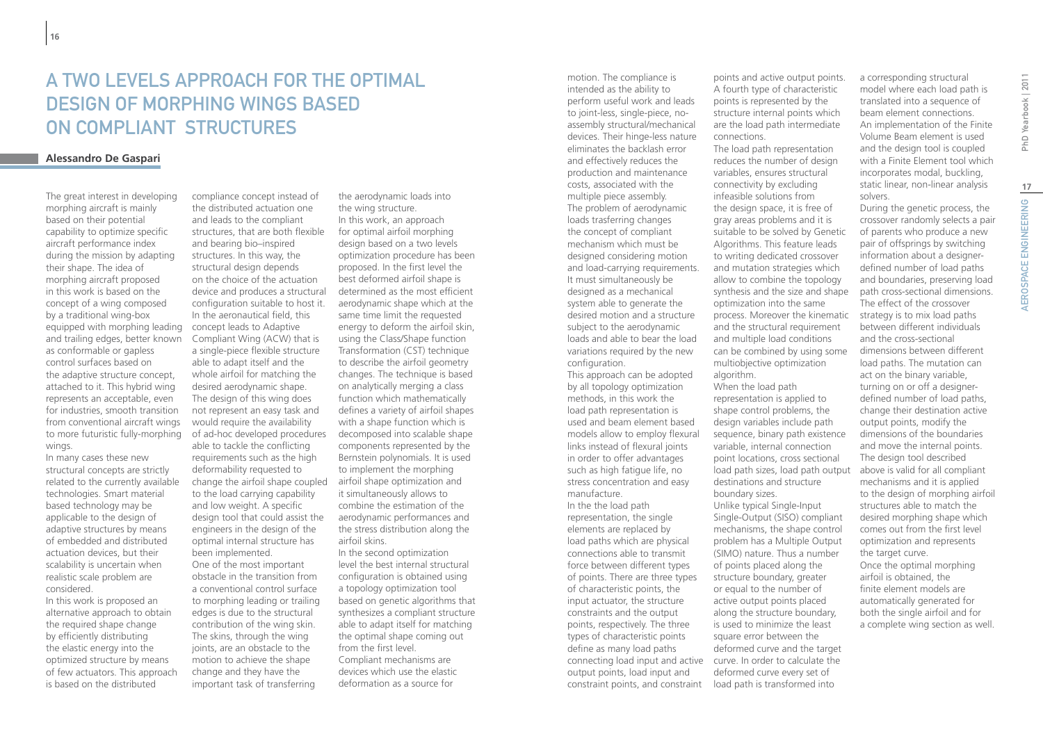# A Two Levels Approach for the Optimal Design of Morphing Wings Based On Compliant Structures

## **Alessandro De Gaspari**

The great interest in developing morphing aircraft is mainly based on their potential capability to optimize specific aircraft performance index during the mission by adapting their shape. The idea of morphing aircraft proposed in this work is based on the concept of a wing composed by a traditional wing-box equipped with morphing leading and trailing edges, better known as conformable or gapless control surfaces based on the adaptive structure concept, attached to it. This hybrid wing represents an acceptable, even for industries, smooth transition from conventional aircraft wings to more futuristic fully-morphing wings.

In many cases these new structural concepts are strictly related to the currently available technologies. Smart material based technology may be applicable to the design of adaptive structures by means of embedded and distributed actuation devices, but their scalability is uncertain when realistic scale problem are considered.

In this work is proposed an alternative approach to obtain the required shape change by efficiently distributing the elastic energy into the optimized structure by means of few actuators. This approach is based on the distributed

compliance concept instead of the distributed actuation one and leads to the compliant structures, that are both flexible and bearing bio–inspired structures. In this way, the structural design depends on the choice of the actuation device and produces a structural configuration suitable to host it. In the aeronautical field, this concept leads to Adaptive Compliant Wing (ACW) that is a single-piece flexible structure able to adapt itself and the whole airfoil for matching the desired aerodynamic shape. The design of this wing does not represent an easy task and would require the availability of ad-hoc developed procedures able to tackle the conflicting requirements such as the high deformability requested to change the airfoil shape coupled to the load carrying capability and low weight. A specific design tool that could assist the engineers in the design of the optimal internal structure has been implemented. One of the most important obstacle in the transition from a conventional control surface to morphing leading or trailing edges is due to the structural contribution of the wing skin. The skins, through the wing joints, are an obstacle to the motion to achieve the shape change and they have the important task of transferring

the aerodynamic loads into the wing structure. In this work, an approach for optimal airfoil morphing design based on a two levels optimization procedure has been proposed. In the first level the best deformed airfoil shape is determined as the most efficient aerodynamic shape which at the same time limit the requested energy to deform the airfoil skin, using the Class/Shape function Transformation (CST) technique to describe the airfoil geometry changes. The technique is based on analytically merging a class function which mathematically defines a variety of airfoil shapes with a shape function which is decomposed into scalable shape components represented by the Bernstein polynomials. It is used to implement the morphing airfoil shape optimization and it simultaneously allows to combine the estimation of the aerodynamic performances and the stress distribution along the airfoil skins. In the second optimization level the best internal structural

configuration is obtained using a topology optimization tool based on genetic algorithms that synthesizes a compliant structure able to adapt itself for matching the optimal shape coming out from the first level. Compliant mechanisms are devices which use the elastic deformation as a source for

motion. The compliance is intended as the ability to perform useful work and leads to joint-less, single-piece, noassembly structural/mechanical devices. Their hinge-less nature eliminates the backlash error and effectively reduces the production and maintenance costs, associated with the multiple piece assembly. The problem of aerodynamic loads trasferring changes the concept of compliant mechanism which must be designed considering motion and load-carrying requirements. It must simultaneously be designed as a mechanical system able to generate the desired motion and a structure subject to the aerodynamic loads and able to bear the load variations required by the new configuration.

This approach can be adopted by all topology optimization methods, in this work the load path representation is used and beam element based models allow to employ flexural links instead of flexural joints in order to offer advantages such as high fatigue life, no stress concentration and easy manufacture. In the the load path representation, the single elements are replaced by load paths which are physical connections able to transmit force between different types of points. There are three types of characteristic points, the input actuator, the structure constraints and the output points, respectively. The three types of characteristic points define as many load paths output points, load input and constraint points, and constraint points and active output points. A fourth type of characteristic points is represented by the structure internal points which are the load path intermediate connections.

The load path representation reduces the number of design variables, ensures structural connectivity by excluding infeasible solutions from the design space, it is free of gray areas problems and it is suitable to be solved by Genetic Algorithms. This feature leads to writing dedicated crossover and mutation strategies which allow to combine the topology synthesis and the size and shape optimization into the same process. Moreover the kinematic and the structural requirement and multiple load conditions can be combined by using some multiobjective optimization algorithm. When the load path

representation is applied to shape control problems, the design variables include path sequence, binary path existence variable, internal connection point locations, cross sectional load path sizes, load path output destinations and structure boundary sizes. Unlike typical Single-Input Single-Output (SISO) compliant mechanisms, the shape control problem has a Multiple Output (SIMO) nature. Thus a number of points placed along the structure boundary, greater or equal to the number of active output points placed along the structure boundary, is used to minimize the least square error between the deformed curve and the target  $\frac{1}{2}$  connecting load input and active  $\frac{1}{2}$  curve. In order to calculate the deformed curve every set of load path is transformed into

a corresponding structural model where each load path is translated into a sequence of beam element connections. An implementation of the Finite Volume Beam element is used and the design tool is coupled with a Finite Element tool which incorporates modal, buckling, static linear, non-linear analysis solvers.

During the genetic process, the crossover randomly selects a pair of parents who produce a new pair of offsprings by switching information about a designerdefined number of load paths and boundaries, preserving load path cross-sectional dimensions. The effect of the crossover strategy is to mix load paths between different individuals and the cross-sectional dimensions between different load paths. The mutation can act on the binary variable, turning on or off a designerdefined number of load paths, change their destination active output points, modify the dimensions of the boundaries and move the internal points. The design tool described above is valid for all compliant mechanisms and it is applied to the design of morphing airfoil structures able to match the desired morphing shape which comes out from the first level optimization and represents the target curve. Once the optimal morphing airfoil is obtained, the finite element models are automatically generated for both the single airfoil and for a complete wing section as well.

**17**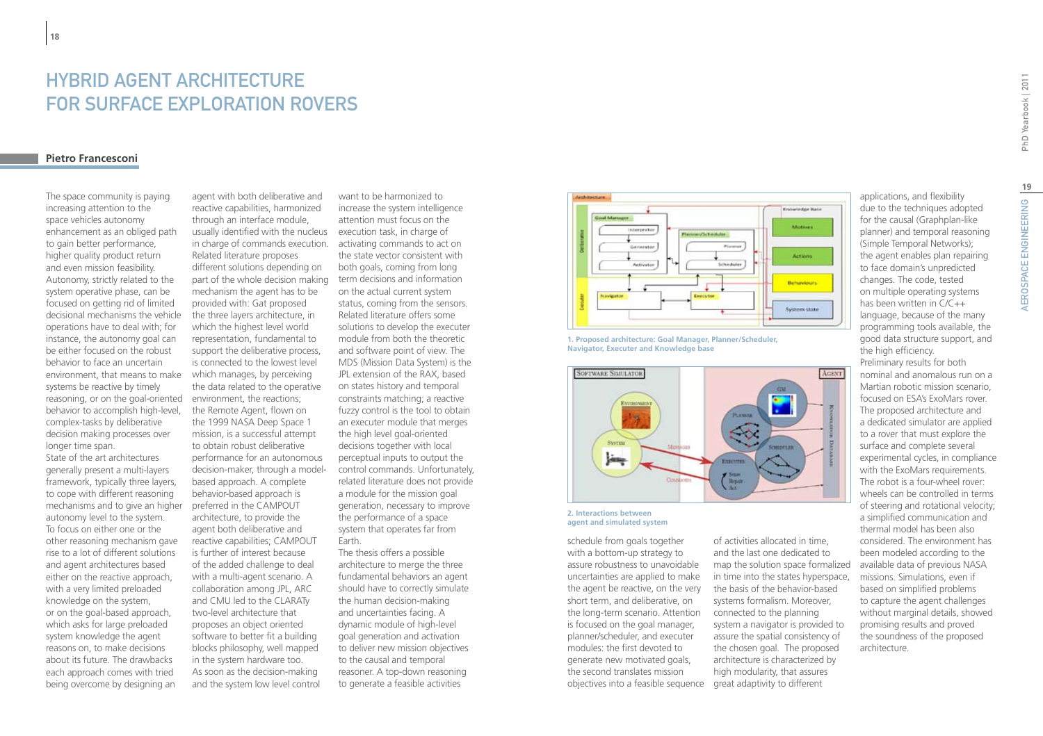# HYBRID AGENT ARCHITECTURE FOR SURFACE EXPLORATION ROVERS

### **Pietro Francesconi**

**18**

The space community is paying increasing attention to the space vehicles autonomy enhancement as an obliged path to gain better performance, higher quality product return and even mission feasibility. Autonomy, strictly related to the system operative phase, can be focused on getting rid of limited decisional mechanisms the vehicle operations have to deal with; for instance, the autonomy goal can be either focused on the robust behavior to face an uncertain environment, that means to make systems be reactive by timely reasoning, or on the goal-oriented environment, the reactions; behavior to accomplish high-level, complex-tasks by deliberative decision making processes over longer time span.

State of the art architectures generally present a multi-layers framework, typically three layers, to cope with different reasoning mechanisms and to give an higher autonomy level to the system. To focus on either one or the other reasoning mechanism gave rise to a lot of different solutions and agent architectures based either on the reactive approach, with a very limited preloaded knowledge on the system, or on the goal-based approach, which asks for large preloaded system knowledge the agent reasons on, to make decisions about its future. The drawbacks each approach comes with tried being overcome by designing an

agent with both deliberative and reactive capabilities, harmonized through an interface module, usually identified with the nucleus execution task, in charge of in charge of commands execution. activating commands to act on Related literature proposes different solutions depending on part of the whole decision making mechanism the agent has to be provided with: Gat proposed the three layers architecture, in which the highest level world representation, fundamental to support the deliberative process, is connected to the lowest level which manages, by perceiving the data related to the operative the Remote Agent, flown on the 1999 NASA Deep Space 1 mission, is a successful attempt to obtain robust deliberative performance for an autonomous decision-maker, through a modelbased approach. A complete behavior-based approach is preferred in the CAMPOUT architecture, to provide the agent both deliberative and reactive capabilities; CAMPOUT is further of interest because of the added challenge to deal with a multi-agent scenario. A collaboration among JPL, ARC and CMU led to the CLARATy two-level architecture that proposes an object oriented software to better fit a building blocks philosophy, well mapped in the system hardware too. As soon as the decision-making and the system low level control

want to be harmonized to increase the system intelligence attention must focus on the the state vector consistent with both goals, coming from long term decisions and information on the actual current system status, coming from the sensors. Related literature offers some solutions to develop the executer module from both the theoretic and software point of view. The MDS (Mission Data System) is the JPL extension of the RAX, based on states history and temporal constraints matching; a reactive fuzzy control is the tool to obtain an executer module that merges the high level goal-oriented decisions together with local perceptual inputs to output the control commands. Unfortunately, related literature does not provide a module for the mission goal generation, necessary to improve the performance of a space system that operates far from Earth.

The thesis offers a possible architecture to merge the three fundamental behaviors an agent should have to correctly simulate the human decision-making and uncertainties facing. A dynamic module of high-level goal generation and activation to deliver new mission objectives to the causal and temporal reasoner. A top-down reasoning to generate a feasible activities



**1. Proposed architecture: Goal Manager, Planner/Scheduler, Navigator, Executer and Knowledge base**



**2. Interactions between agent and simulated system**

objectives into a feasible sequence great adaptivity to different schedule from goals together with a bottom-up strategy to assure robustness to unavoidable uncertainties are applied to make the agent be reactive, on the very short term, and deliberative, on the long-term scenario. Attention is focused on the goal manager, planner/scheduler, and executer modules: the first devoted to generate new motivated goals, the second translates mission

of activities allocated in time, and the last one dedicated to map the solution space formalized in time into the states hyperspace, the basis of the behavior-based systems formalism. Moreover, connected to the planning system a navigator is provided to assure the spatial consistency of the chosen goal. The proposed architecture is characterized by high modularity, that assures

applications, and flexibility due to the techniques adopted for the causal (Graphplan-like planner) and temporal reasoning (Simple Temporal Networks); the agent enables plan repairing to face domain's unpredicted changes. The code, tested on multiple operating systems has been written in C/C++ language, because of the many programming tools available, the good data structure support, and the high efficiency.

Preliminary results for both nominal and anomalous run on a Martian robotic mission scenario, focused on ESA's ExoMars rover. The proposed architecture and a dedicated simulator are applied to a rover that must explore the surface and complete several experimental cycles, in compliance with the ExoMars requirements. The robot is a four-wheel rover: wheels can be controlled in terms of steering and rotational velocity; a simplified communication and thermal model has been also considered. The environment has been modeled according to the available data of previous NASA missions. Simulations, even if based on simplified problems to capture the agent challenges without marginal details, showed promising results and proved the soundness of the proposed architecture.

**19**

AEROSPACE ENGINEERING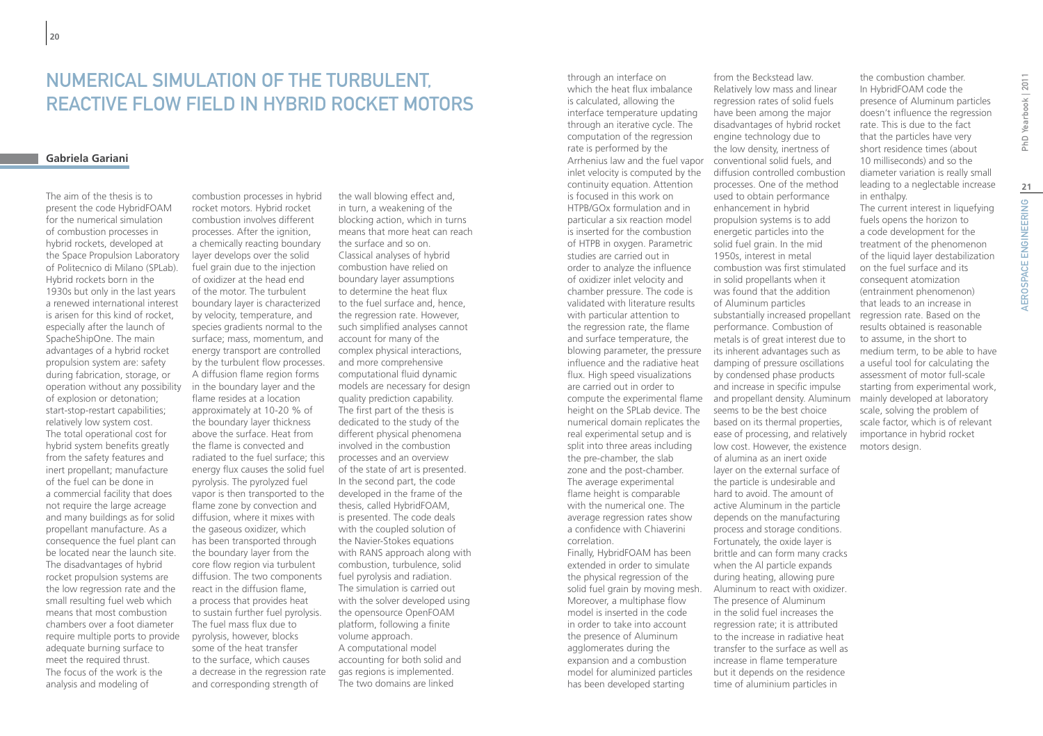# Numerical Simulation of The Turbulent, Reactive Flow Field in Hybrid Rocket Motors

### **Gabriela Gariani**

The aim of the thesis is to present the code HybridFOAM for the numerical simulation of combustion processes in hybrid rockets, developed at the Space Propulsion Laboratory of Politecnico di Milano (SPLab). Hybrid rockets born in the 1930s but only in the last years a renewed international interest is arisen for this kind of rocket, especially after the launch of SpacheShipOne. The main advantages of a hybrid rocket propulsion system are: safety during fabrication, storage, or operation without any possibility of explosion or detonation; start-stop-restart capabilities; relatively low system cost. The total operational cost for hybrid system benefits greatly from the safety features and inert propellant; manufacture of the fuel can be done in a commercial facility that does not require the large acreage and many buildings as for solid propellant manufacture. As a consequence the fuel plant can be located near the launch site. The disadvantages of hybrid rocket propulsion systems are the low regression rate and the small resulting fuel web which means that most combustion chambers over a foot diameter require multiple ports to provide adequate burning surface to meet the required thrust. The focus of the work is the analysis and modeling of

combustion processes in hybrid rocket motors. Hybrid rocket combustion involves different processes. After the ignition, a chemically reacting boundary layer develops over the solid fuel grain due to the injection of oxidizer at the head end of the motor. The turbulent boundary layer is characterized by velocity, temperature, and species gradients normal to the surface; mass, momentum, and energy transport are controlled by the turbulent flow processes. A diffusion flame region forms in the boundary layer and the flame resides at a location approximately at 10-20 % of the boundary layer thickness above the surface. Heat from the flame is convected and radiated to the fuel surface; this energy flux causes the solid fuel pyrolysis. The pyrolyzed fuel vapor is then transported to the flame zone by convection and diffusion, where it mixes with the gaseous oxidizer, which has been transported through the boundary layer from the core flow region via turbulent diffusion. The two components react in the diffusion flame, a process that provides heat to sustain further fuel pyrolysis. The fuel mass flux due to pyrolysis, however, blocks some of the heat transfer to the surface, which causes a decrease in the regression rate and corresponding strength of

the wall blowing effect and, in turn, a weakening of the blocking action, which in turns means that more heat can reach the surface and so on. Classical analyses of hybrid combustion have relied on boundary layer assumptions to determine the heat flux to the fuel surface and, hence, the regression rate. However, such simplified analyses cannot account for many of the complex physical interactions, and more comprehensive computational fluid dynamic models are necessary for design quality prediction capability. The first part of the thesis is dedicated to the study of the different physical phenomena involved in the combustion processes and an overview of the state of art is presented. In the second part, the code developed in the frame of the thesis, called HybridFOAM, is presented. The code deals with the coupled solution of the Navier-Stokes equations with RANS approach along with combustion, turbulence, solid fuel pyrolysis and radiation. The simulation is carried out with the solver developed using the opensource OpenFOAM platform, following a finite volume approach. A computational model accounting for both solid and gas regions is implemented. The two domains are linked

through an interface on which the heat flux imbalance is calculated, allowing the interface temperature updating through an iterative cycle. The computation of the regression rate is performed by the Arrhenius law and the fuel vapor inlet velocity is computed by the continuity equation. Attention is focused in this work on HTPB/GOx formulation and in particular a six reaction model is inserted for the combustion of HTPB in oxygen. Parametric studies are carried out in order to analyze the influence of oxidizer inlet velocity and chamber pressure. The code is validated with literature results with particular attention to the regression rate, the flame and surface temperature, the blowing parameter, the pressure influence and the radiative heat flux. High speed visualizations are carried out in order to height on the SPLab device. The numerical domain replicates the real experimental setup and is split into three areas including the pre-chamber, the slab zone and the post-chamber. The average experimental flame height is comparable with the numerical one. The average regression rates show a confidence with Chiaverini correlation. Finally, HybridFOAM has been extended in order to simulate the physical regression of the solid fuel grain by moving mesh. Moreover, a multiphase flow model is inserted in the code in order to take into account the presence of Aluminum agglomerates during the expansion and a combustion model for aluminized particles

has been developed starting

compute the experimental flame and propellant density. Aluminum from the Beckstead law. Relatively low mass and linear regression rates of solid fuels have been among the major disadvantages of hybrid rocket engine technology due to the low density, inertness of conventional solid fuels, and diffusion controlled combustion processes. One of the method used to obtain performance enhancement in hybrid propulsion systems is to add energetic particles into the solid fuel grain. In the mid 1950s, interest in metal combustion was first stimulated in solid propellants when it was found that the addition of Aluminum particles substantially increased propellant performance. Combustion of metals is of great interest due to its inherent advantages such as damping of pressure oscillations by condensed phase products and increase in specific impulse seems to be the best choice based on its thermal properties, ease of processing, and relatively low cost. However, the existence of alumina as an inert oxide layer on the external surface of the particle is undesirable and hard to avoid. The amount of active Aluminum in the particle depends on the manufacturing process and storage conditions. Fortunately, the oxide layer is brittle and can form many cracks when the Al particle expands during heating, allowing pure Aluminum to react with oxidizer. The presence of Aluminum in the solid fuel increases the regression rate; it is attributed to the increase in radiative heat transfer to the surface as well as increase in flame temperature but it depends on the residence time of aluminium particles in

the combustion chamber. In HybridFOAM code the presence of Aluminum particles doesn't influence the regression rate. This is due to the fact that the particles have very short residence times (about 10 milliseconds) and so the diameter variation is really small leading to a neglectable increase in enthalpy. The current interest in liquefying

fuels opens the horizon to a code development for the treatment of the phenomenon of the liquid layer destabilization on the fuel surface and its consequent atomization (entrainment phenomenon) that leads to an increase in regression rate. Based on the results obtained is reasonable to assume, in the short to medium term, to be able to have a useful tool for calculating the assessment of motor full-scale starting from experimental work, mainly developed at laboratory scale, solving the problem of scale factor, which is of relevant importance in hybrid rocket motors design.

**21**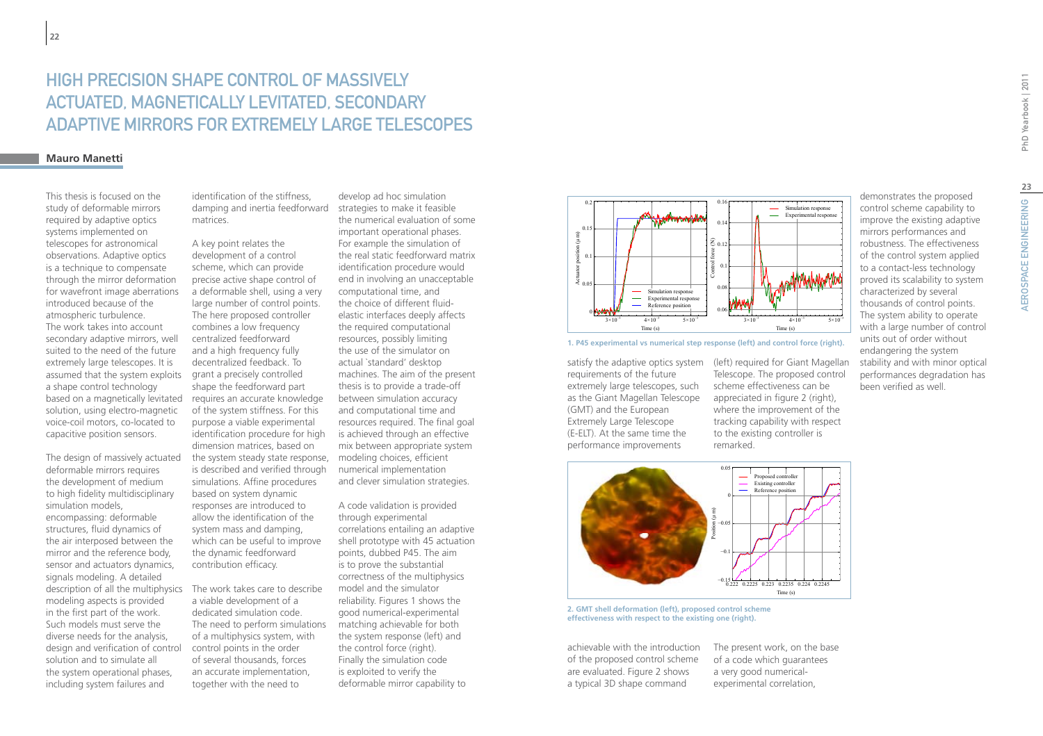# High precision shape control of massively actuated, magnetically levitated, secondary adaptive mirrors for extremely large telescopes

### **Mauro Manetti**

This thesis is focused on the study of deformable mirrors required by adaptive optics systems implemented on telescopes for astronomical observations. Adaptive optics is a technique to compensate through the mirror deformation for wavefront image aberrations introduced because of the atmospheric turbulence. The work takes into account secondary adaptive mirrors, well suited to the need of the future extremely large telescopes. It is assumed that the system exploits a shape control technology solution, using electro-magnetic voice-coil motors, co-located to capacitive position sensors.

The design of massively actuated deformable mirrors requires the development of medium to high fidelity multidisciplinary simulation models, encompassing: deformable structures, fluid dynamics of the air interposed between the mirror and the reference body, sensor and actuators dynamics, signals modeling. A detailed description of all the multiphysics modeling aspects is provided in the first part of the work. Such models must serve the diverse needs for the analysis, design and verification of control solution and to simulate all the system operational phases, including system failures and

identification of the stiffness, damping and inertia feedforward strategies to make it feasible matrices.

based on a magnetically levitated requires an accurate knowledge A key point relates the development of a control scheme, which can provide precise active shape control of a deformable shell, using a very large number of control points. The here proposed controller combines a low frequency centralized feedforward and a high frequency fully decentralized feedback. To grant a precisely controlled shape the feedforward part of the system stiffness. For this purpose a viable experimental identification procedure for high dimension matrices, based on the system steady state response, modeling choices, efficient is described and verified through simulations. Affine procedures based on system dynamic responses are introduced to allow the identification of the system mass and damping, which can be useful to improve the dynamic feedforward contribution efficacy.

> The work takes care to describe a viable development of a dedicated simulation code. The need to perform simulations of a multiphysics system, with control points in the order of several thousands, forces an accurate implementation, together with the need to

develop ad hoc simulation the numerical evaluation of some important operational phases. For example the simulation of the real static feedforward matrix identification procedure would end in involving an unacceptable computational time, and the choice of different fluidelastic interfaces deeply affects the required computational resources, possibly limiting the use of the simulator on actual `standard' desktop machines. The aim of the present thesis is to provide a trade-off between simulation accuracy and computational time and resources required. The final goal is achieved through an effective mix between appropriate system numerical implementation and clever simulation strategies.

A code validation is provided through experimental correlations entailing an adaptive shell prototype with 45 actuation points, dubbed P45. The aim is to prove the substantial correctness of the multiphysics model and the simulator reliability. Figures 1 shows the good numerical-experimental matching achievable for both the system response (left) and the control force (right). Finally the simulation code is exploited to verify the deformable mirror capability to



**1. P45 experimental vs numerical step response (left) and control force (right).**

requirements of the future extremely large telescopes, such as the Giant Magellan Telescope (GMT) and the European Extremely Large Telescope (E-ELT). At the same time the performance improvements

satisfy the adaptive optics system (left) required for Giant Magellan Telescope. The proposed control scheme effectiveness can be appreciated in figure 2 (right), where the improvement of the tracking capability with respect to the existing controller is remarked.



**2. GMT shell deformation (left), proposed control scheme effectiveness with respect to the existing one (right).**

achievable with the introduction of the proposed control scheme are evaluated. Figure 2 shows a typical 3D shape command

The present work, on the base of a code which guarantees a very good numericalexperimental correlation,

demonstrates the proposed control scheme capability to improve the existing adaptive mirrors performances and robustness. The effectiveness of the control system applied to a contact-less technology proved its scalability to system characterized by several thousands of control points. The system ability to operate with a large number of control units out of order without endangering the system stability and with minor optical performances degradation has been verified as well.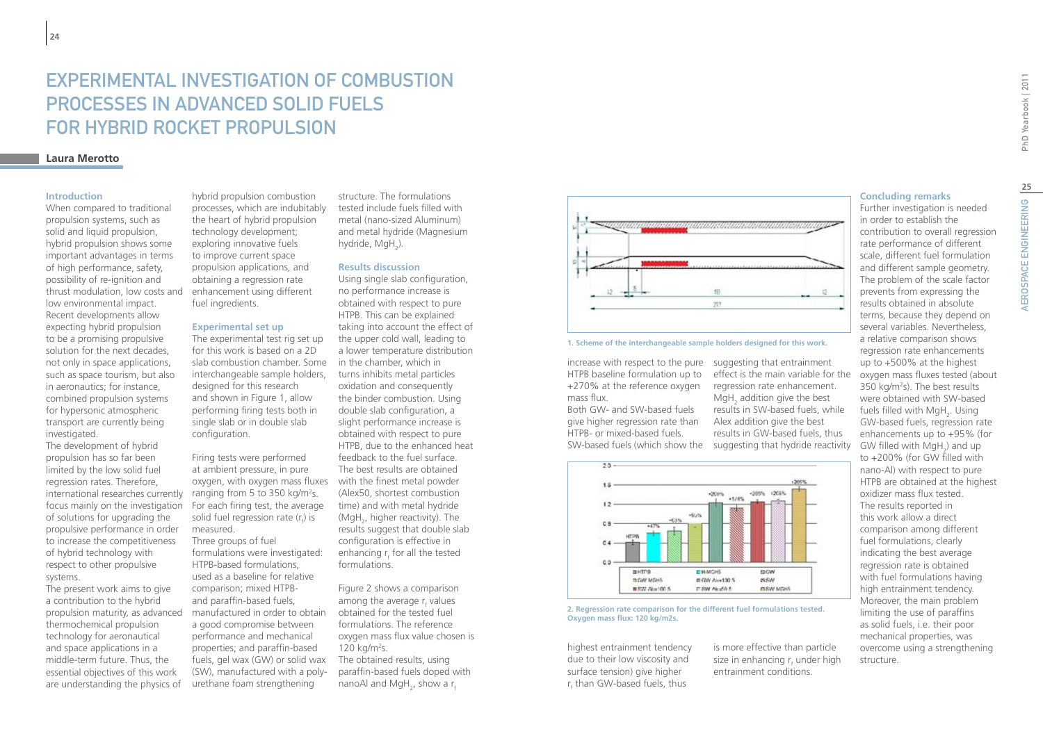# Experimental Investigation of Combustion Processes in Advanced Solid Fuels for Hybrid Rocket Propulsion

## **Laura Merotto**

### **Introduction**

When compared to traditional propulsion systems, such as solid and liquid propulsion, hybrid propulsion shows some important advantages in terms of high performance, safety, possibility of re-ignition and thrust modulation, low costs and low environmental impact. Recent developments allow expecting hybrid propulsion to be a promising propulsive solution for the next decades, not only in space applications, such as space tourism, but also in aeronautics; for instance, combined propulsion systems for hypersonic atmospheric transport are currently being investigated.

The development of hybrid propulsion has so far been limited by the low solid fuel regression rates. Therefore, international researches currently focus mainly on the investigation of solutions for upgrading the propulsive performance in order to increase the competitiveness of hybrid technology with respect to other propulsive systems.

The present work aims to give a contribution to the hybrid propulsion maturity, as advanced thermochemical propulsion technology for aeronautical and space applications in a middle-term future. Thus, the essential objectives of this work are understanding the physics of

hybrid propulsion combustion processes, which are indubitably the heart of hybrid propulsion technology development; exploring innovative fuels to improve current space propulsion applications, and obtaining a regression rate enhancement using different fuel ingredients.

#### **Experimental set up**

The experimental test rig set up for this work is based on a 2D slab combustion chamber. Some interchangeable sample holders, designed for this research and shown in Figure 1, allow performing firing tests both in single slab or in double slab configuration.

Firing tests were performed at ambient pressure, in pure oxygen, with oxygen mass fluxes ranging from 5 to 350 kg/m2 s. For each firing test, the average solid fuel regression rate ( $r_f$ ) is measured. Three groups of fuel formulations were investigated: HTPB-based formulations, used as a baseline for relative comparison; mixed HTPBand paraffin-based fuels, manufactured in order to obtain a good compromise between performance and mechanical properties; and paraffin-based fuels, gel wax (GW) or solid wax (SW), manufactured with a polyurethane foam strengthening

structure. The formulations tested include fuels filled with metal (nano-sized Aluminum) and metal hydride (Magnesium hydride, MgH<sub>2</sub>).

### **Results discussion**

Using single slab configuration, no performance increase is obtained with respect to pure HTPB. This can be explained taking into account the effect of the upper cold wall, leading to a lower temperature distribution in the chamber, which in turns inhibits metal particles oxidation and consequently the binder combustion. Using double slab configuration, a slight performance increase is obtained with respect to pure HTPB, due to the enhanced heat feedback to the fuel surface. The best results are obtained with the finest metal powder (Alex50, shortest combustion time) and with metal hydride (MgH<sub>2</sub>, higher reactivity). The results suggest that double slab configuration is effective in enhancing  $\mathsf{r}_{\mathsf{f}}$  for all the tested formulations.

Figure 2 shows a comparison among the average r<sub>f</sub> values obtained for the tested fuel formulations. The reference oxygen mass flux value chosen is 120 kg/m2 s. The obtained results, using paraffin-based fuels doped with nanoAl and MgH<sub>2</sub>, show a r<sub>f</sub>



#### **1. Scheme of the interchangeable sample holders designed for this work.**

increase with respect to the pure suggesting that entrainment HTPB baseline formulation up to +270% at the reference oxygen mass flux.

Both GW- and SW-based fuels give higher regression rate than HTPB- or mixed-based fuels. SW-based fuels (which show the suggesting that hydride reactivity



**2. Regression rate comparison for the different fuel formulations tested. Oxygen mass flux: 120 kg/m2s.**

highest entrainment tendency due to their low viscosity and surface tension) give higher r f than GW-based fuels, thus

is more effective than particle size in enhancing  $r_{\rm f}$  under high entrainment conditions.

effect is the main variable for the regression rate enhancement.  $MgH<sub>2</sub>$  addition give the best results in SW-based fuels, while Alex addition give the best results in GW-based fuels, thus

**Concluding remarks**

Further investigation is needed in order to establish the contribution to overall regression rate performance of different scale, different fuel formulation and different sample geometry. The problem of the scale factor prevents from expressing the results obtained in absolute terms, because they depend on several variables. Nevertheless, a relative comparison shows regression rate enhancements up to +500% at the highest oxygen mass fluxes tested (about 350 kg/m<sup>2</sup>s). The best results were obtained with SW-based fuels filled with  $\mathsf{MgH}_2$ . Using GW-based fuels, regression rate enhancements up to +95% (for GW filled with  $MgH_2$ ) and up to +200% (for GW filled with nano-Al) with respect to pure HTPB are obtained at the highest oxidizer mass flux tested. The results reported in this work allow a direct comparison among different fuel formulations, clearly indicating the best average regression rate is obtained with fuel formulations having high entrainment tendency. Moreover, the main problem limiting the use of paraffins as solid fuels, i.e. their poor mechanical properties, was overcome using a strengthening structure.

**25**

AEROSPACE ENGINEERING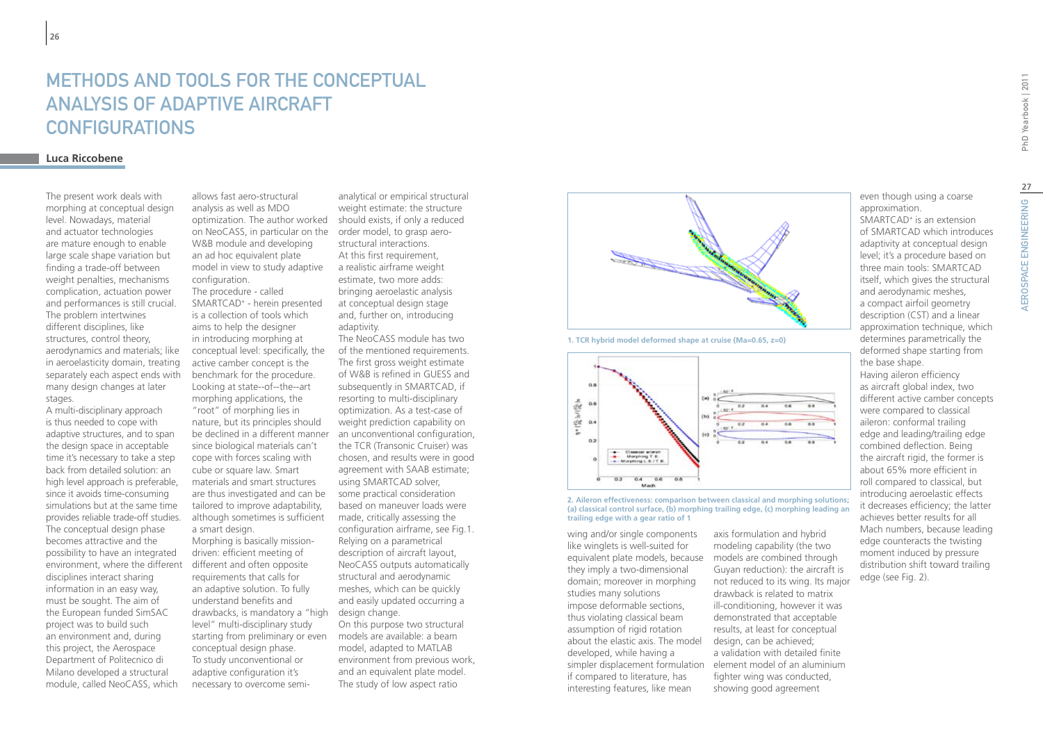# Methods and tools for the conceptual analysis of adaptive aircraft **CONFIGURATIONS**

### **Luca Riccobene**

The present work deals with morphing at conceptual design level. Nowadays, material and actuator technologies are mature enough to enable large scale shape variation but finding a trade-off between weight penalties, mechanisms complication, actuation power and performances is still crucial. The problem intertwines different disciplines, like structures, control theory, aerodynamics and materials; like in aeroelasticity domain, treating separately each aspect ends with many design changes at later stages.

A multi-disciplinary approach is thus needed to cope with adaptive structures, and to span the design space in acceptable time it's necessary to take a step back from detailed solution: an high level approach is preferable, since it avoids time-consuming simulations but at the same time provides reliable trade-off studies. The conceptual design phase becomes attractive and the possibility to have an integrated environment, where the different different and often opposite disciplines interact sharing information in an easy way, must be sought. The aim of the European funded SimSAC project was to build such an environment and, during this project, the Aerospace Department of Politecnico di Milano developed a structural module, called NeoCASS, which

allows fast aero-structural analysis as well as MDO optimization. The author worked on NeoCASS, in particular on the order model, to grasp aero-W&B module and developing an ad hoc equivalent plate model in view to study adaptive configuration. The procedure - called SMARTCAD+ - herein presented is a collection of tools which aims to help the designer in introducing morphing at conceptual level: specifically, the active camber concept is the benchmark for the procedure. Looking at state--of--the--art morphing applications, the "root" of morphing lies in nature, but its principles should since biological materials can't cope with forces scaling with cube or square law. Smart materials and smart structures are thus investigated and can be tailored to improve adaptability, although sometimes is sufficient a smart design. Morphing is basically missiondriven: efficient meeting of requirements that calls for an adaptive solution. To fully understand benefits and

drawbacks, is mandatory a "high design change. level" multi-disciplinary study starting from preliminary or even conceptual design phase. To study unconventional or adaptive configuration it's necessary to overcome semi-

analytical or empirical structural weight estimate: the structure should exists, if only a reduced structural interactions. At this first requirement. a realistic airframe weight estimate, two more adds: bringing aeroelastic analysis at conceptual design stage and, further on, introducing adaptivity.

be declined in a different manner an unconventional configuration, The NeoCASS module has two of the mentioned requirements. The first gross weight estimate of W&B is refined in GUESS and subsequently in SMARTCAD, if resorting to multi-disciplinary optimization. As a test-case of weight prediction capability on the TCR (Transonic Cruiser) was chosen, and results were in good agreement with SAAB estimate; using SMARTCAD solver, some practical consideration based on maneuver loads were made, critically assessing the configuration airframe, see Fig.1. Relying on a parametrical description of aircraft layout, NeoCASS outputs automatically structural and aerodynamic meshes, which can be quickly and easily updated occurring a On this purpose two structural

models are available: a beam model, adapted to MATLAB environment from previous work, and an equivalent plate model. The study of low aspect ratio



**1. TCR hybrid model deformed shape at cruise (Ma=0.65, z=0)**



**2. Aileron effectiveness: comparison between classical and morphing solutions; (a) classical control surface, (b) morphing trailing edge, (c) morphing leading an trailing edge with a gear ratio of 1**

wing and/or single components like winglets is well-suited for equivalent plate models, because they imply a two-dimensional domain; moreover in morphing studies many solutions impose deformable sections, thus violating classical beam assumption of rigid rotation about the elastic axis. The model design, can be achieved; developed, while having a simpler displacement formulation element model of an aluminium if compared to literature, has interesting features, like mean

axis formulation and hybrid modeling capability (the two models are combined through Guyan reduction): the aircraft is not reduced to its wing. Its major drawback is related to matrix ill-conditioning, however it was demonstrated that acceptable results, at least for conceptual a validation with detailed finite fighter wing was conducted, showing good agreement

even though using a coarse SMARTCAD+ is an extension of SMARTCAD which introduces adaptivity at conceptual design level; it's a procedure based on three main tools: SMARTCAD itself, which gives the structural and aerodynamic meshes, a compact airfoil geometry description (CST) and a linear approximation technique, which determines parametrically the deformed shape starting from Having aileron efficiency as aircraft global index, two different active camber concepts were compared to classical aileron: conformal trailing edge and leading/trailing edge combined deflection. Being the aircraft rigid, the former is about 65% more efficient in roll compared to classical, but introducing aeroelastic effects

approximation.

the base shape.

edge (see Fig. 2).

it decreases efficiency; the latter achieves better results for all Mach numbers, because leading edge counteracts the twisting moment induced by pressure distribution shift toward trailing

**27**

AEROSPACE ENGINEERING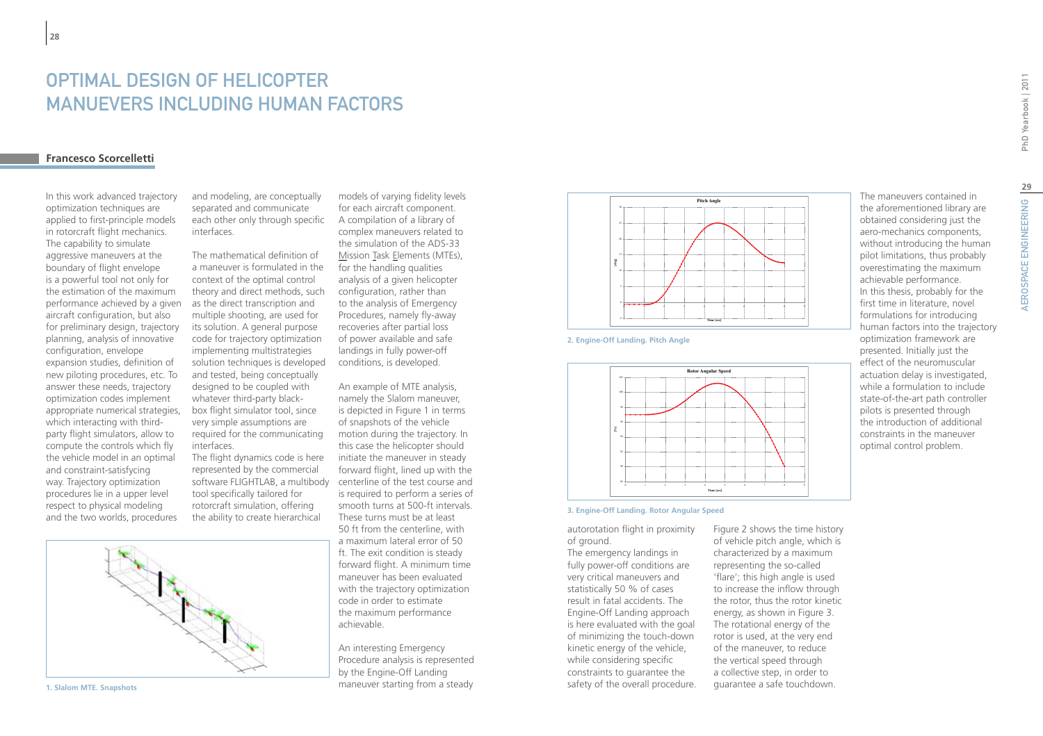# OPTIMAL DESIGN OF HELICOPTER MANUEVERS INCLUDING HUMAN FACTORS

### **Francesco Scorcelletti**

In this work advanced trajectory optimization techniques are applied to first-principle models in rotorcraft flight mechanics. The capability to simulate aggressive maneuvers at the boundary of flight envelope is a powerful tool not only for the estimation of the maximum performance achieved by a given aircraft configuration, but also for preliminary design, trajectory planning, analysis of innovative configuration, envelope expansion studies, definition of new piloting procedures, etc. To answer these needs, trajectory optimization codes implement appropriate numerical strategies, which interacting with thirdparty flight simulators, allow to compute the controls which fly the vehicle model in an optimal and constraint-satisfycing way. Trajectory optimization procedures lie in a upper level respect to physical modeling and the two worlds, procedures

**1. Slalom MTE. Snapshots**

and modeling, are conceptually separated and communicate each other only through specific interfaces.

The mathematical definition of a maneuver is formulated in the context of the optimal control theory and direct methods, such as the direct transcription and multiple shooting, are used for its solution. A general purpose code for trajectory optimization implementing multistrategies solution techniques is developed and tested, being conceptually designed to be coupled with whatever third-party blackbox flight simulator tool, since very simple assumptions are required for the communicating interfaces.

The flight dynamics code is here represented by the commercial tool specifically tailored for rotorcraft simulation, offering the ability to create hierarchical

models of varying fidelity levels for each aircraft component. A compilation of a library of complex maneuvers related to the simulation of the ADS-33 Mission Task Elements (MTEs), for the handling qualities analysis of a given helicopter configuration, rather than to the analysis of Emergency Procedures, namely fly-away recoveries after partial loss of power available and safe landings in fully power-off conditions, is developed.

software FLIGHTLAB, a multibody centerline of the test course and An example of MTE analysis, namely the Slalom maneuver, is depicted in Figure 1 in terms of snapshots of the vehicle motion during the trajectory. In this case the helicopter should initiate the maneuver in steady forward flight, lined up with the is required to perform a series of smooth turns at 500-ft intervals. These turns must be at least 50 ft from the centerline, with a maximum lateral error of 50 ft. The exit condition is steady forward flight. A minimum time maneuver has been evaluated with the trajectory optimization code in order to estimate the maximum performance achievable.

> An interesting Emergency Procedure analysis is represented by the Engine-Off Landing maneuver starting from a steady



**2. Engine-Off Landing. Pitch Angle**



**3. Engine-Off Landing. Rotor Angular Speed**

autorotation flight in proximity of ground.

The emergency landings in fully power-off conditions are very critical maneuvers and statistically 50 % of cases result in fatal accidents. The Engine-Off Landing approach is here evaluated with the goal of minimizing the touch-down kinetic energy of the vehicle, while considering specific constraints to guarantee the safety of the overall procedure.

Figure 2 shows the time history of vehicle pitch angle, which is characterized by a maximum representing the so-called 'flare'; this high angle is used to increase the inflow through the rotor, thus the rotor kinetic energy, as shown in Figure 3. The rotational energy of the rotor is used, at the very end of the maneuver, to reduce the vertical speed through a collective step, in order to guarantee a safe touchdown.

PhD Yearbook | 2011

the aforementioned library are obtained considering just the aero-mechanics components, without introducing the human pilot limitations, thus probably overestimating the maximum achievable performance. In this thesis, probably for the first time in literature, novel formulations for introducing human factors into the trajectory optimization framework are presented. Initially just the effect of the neuromuscular actuation delay is investigated, while a formulation to include state-of-the-art path controller pilots is presented through the introduction of additional constraints in the maneuver optimal control problem.

The maneuvers contained in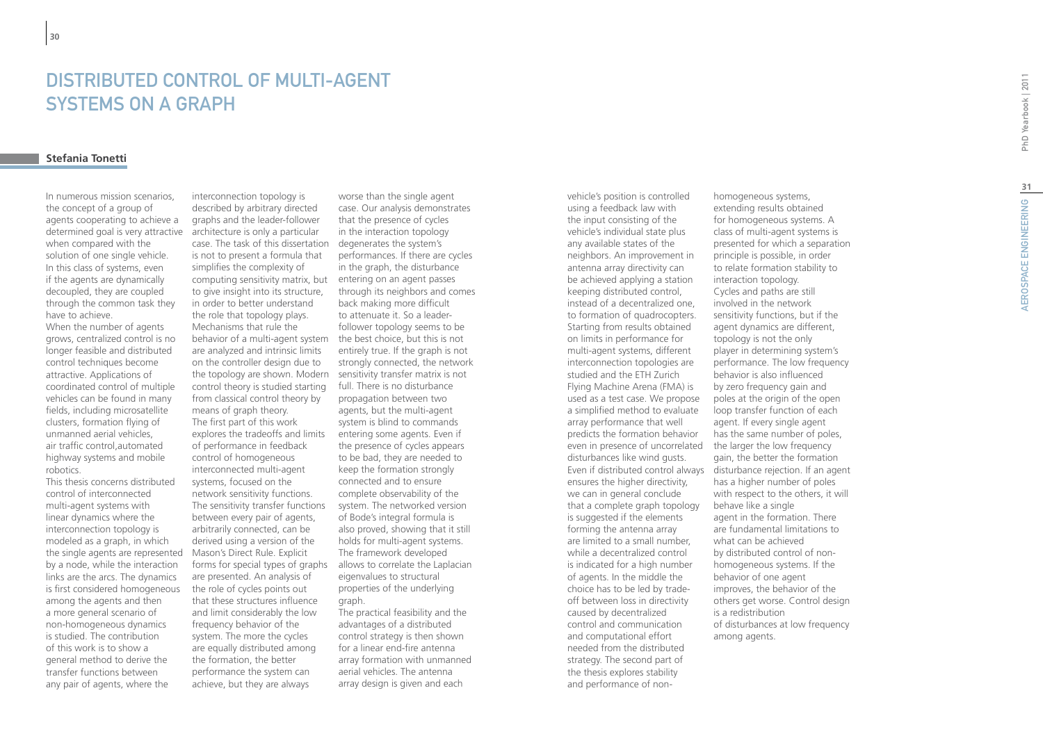# Distributed control of multi-agent SYSTEMS ON A G

### **Stefania Tonetti**

In numerous mission scenarios, the concept of a group of agents cooperating to achieve a determined goal is very attractive architecture is only a particular when compared with the solution of one single vehicle. In this class of systems, even if the agents are dynamically decoupled, they are coupled through the common task they have to achieve.

When the number of agents grows, centralized control is no longer feasible and distributed control techniques become attractive. Applications of coordinated control of multiple vehicles can be found in many fields, including microsatellite clusters, formation flying of unmanned aerial vehicles, air traffic control,automated highway systems and mobile robotics.

This thesis concerns distributed control of interconnected multi-agent systems with linear dynamics where the interconnection topology is modeled as a graph, in which the single agents are represented by a node, while the interaction links are the arcs. The dynamics is first considered homogeneous among the agents and then a more general scenario of non-homogeneous dynamics is studied. The contribution of this work is to show a general method to derive the transfer functions between any pair of agents, where the

interconnection topology is described by arbitrary directed graphs and the leader-follower case. The task of this dissertation is not to present a formula that simplifies the complexity of computing sensitivity matrix, but entering on an agent passes to give insight into its structure. in order to better understand the role that topology plays. Mechanisms that rule the behavior of a multi-agent system the best choice, but this is not are analyzed and intrinsic limits on the controller design due to the topology are shown. Modern control theory is studied starting from classical control theory by means of graph theory. The first part of this work explores the tradeoffs and limits of performance in feedback control of homogeneous interconnected multi-agent systems, focused on the network sensitivity functions. The sensitivity transfer functions between every pair of agents, arbitrarily connected, can be derived using a version of the Mason's Direct Rule. Explicit forms for special types of graphs allows to correlate the Laplacian are presented. An analysis of the role of cycles points out that these structures influence and limit considerably the low frequency behavior of the system. The more the cycles are equally distributed among the formation, the better performance the system can achieve, but they are always

worse than the single agent case. Our analysis demonstrates that the presence of cycles in the interaction topology degenerates the system's performances. If there are cycles in the graph, the disturbance through its neighbors and comes back making more difficult to attenuate it. So a leaderfollower topology seems to be entirely true. If the graph is not strongly connected, the network sensitivity transfer matrix is not full. There is no disturbance propagation between two agents, but the multi-agent system is blind to commands entering some agents. Even if the presence of cycles appears to be bad, they are needed to keep the formation strongly connected and to ensure complete observability of the system. The networked version of Bode's integral formula is also proved, showing that it still holds for multi-agent systems. The framework developed eigenvalues to structural properties of the underlying graph. The practical feasibility and the advantages of a distributed

control strategy is then shown for a linear end-fire antenna array formation with unmanned aerial vehicles. The antenna array design is given and each

vehicle's position is controlled using a feedback law with the input consisting of the vehicle's individual state plus any available states of the neighbors. An improvement in antenna array directivity can be achieved applying a station keeping distributed control, instead of a decentralized one, to formation of quadrocopters. Starting from results obtained on limits in performance for multi-agent systems, different interconnection topologies are studied and the ETH Zurich Flying Machine Arena (FMA) is used as a test case. We propose a simplified method to evaluate array performance that well predicts the formation behavior even in presence of uncorrelated disturbances like wind gusts. ensures the higher directivity, we can in general conclude that a complete graph topology is suggested if the elements forming the antenna array are limited to a small number, while a decentralized control is indicated for a high number of agents. In the middle the choice has to be led by tradeoff between loss in directivity caused by decentralized control and communication and computational effort needed from the distributed strategy. The second part of the thesis explores stability and performance of non-

Even if distributed control always disturbance rejection. If an agent homogeneous systems, extending results obtained for homogeneous systems. A class of multi-agent systems is presented for which a separation principle is possible, in order to relate formation stability to interaction topology. Cycles and paths are still involved in the network sensitivity functions, but if the agent dynamics are different, topology is not the only player in determining system's performance. The low frequency behavior is also influenced by zero frequency gain and poles at the origin of the open loop transfer function of each agent. If every single agent has the same number of poles, the larger the low frequency gain, the better the formation has a higher number of poles with respect to the others, it will behave like a single agent in the formation. There are fundamental limitations to what can be achieved by distributed control of nonhomogeneous systems. If the behavior of one agent improves, the behavior of the others get worse. Control design is a redistribution of disturbances at low frequency among agents.